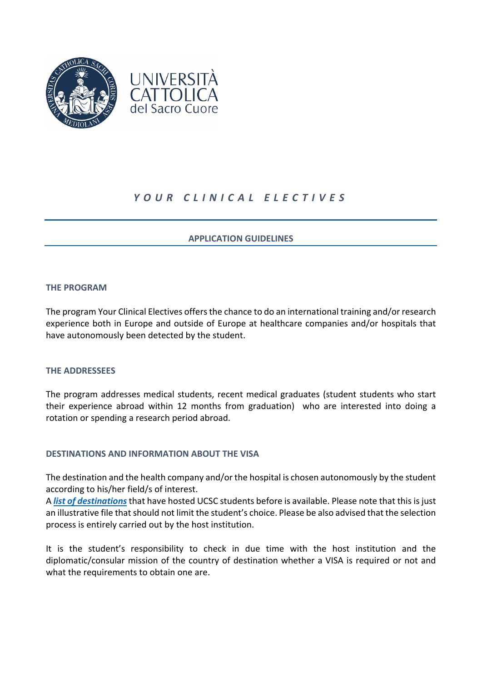

# *YOUR CLINICAL ELECTIVES*

# **APPLICATION GUIDELINES**

# **THE PROGRAM**

The program Your Clinical Electives offers the chance to do an international training and/or research experience both in Europe and outside of Europe at healthcare companies and/or hospitals that have autonomously been detected by the student.

#### **THE ADDRESSEES**

The program addresses medical students, recent medical graduates (student students who start their experience abroad within 12 months from graduation) who are interested into doing a rotation or spending a research period abroad.

#### **DESTINATIONS AND INFORMATION ABOUT THE VISA**

The destination and the health company and/or the hospital is chosen autonomously by the student according to his/her field/s of interest.

A *[list of destinations](https://goabroad.unicatt.it/goabroad-sedi%20ospitanti_%20YOUR%20CLINICAL%20ELECTIVES.xlsx)*that have hosted UCSC students before is available. Please note that this is just an illustrative file that should not limit the student's choice. Please be also advised that the selection process is entirely carried out by the host institution.

It is the student's responsibility to check in due time with the host institution and the diplomatic/consular mission of the country of destination whether a VISA is required or not and what the requirements to obtain one are.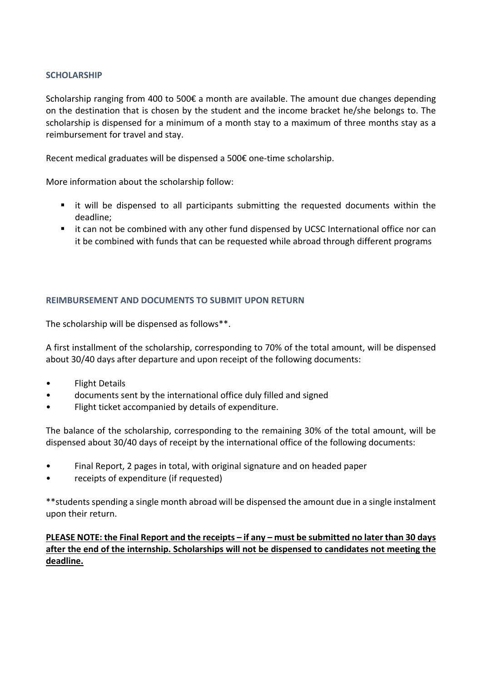### **SCHOLARSHIP**

Scholarship ranging from 400 to 500€ a month are available. The amount due changes depending on the destination that is chosen by the student and the income bracket he/she belongs to. The scholarship is dispensed for a minimum of a month stay to a maximum of three months stay as a reimbursement for travel and stay.

Recent medical graduates will be dispensed a 500€ one-time scholarship.

More information about the scholarship follow:

- it will be dispensed to all participants submitting the requested documents within the deadline;
- it can not be combined with any other fund dispensed by UCSC International office nor can it be combined with funds that can be requested while abroad through different programs

# **REIMBURSEMENT AND DOCUMENTS TO SUBMIT UPON RETURN**

The scholarship will be dispensed as follows\*\*.

A first installment of the scholarship, corresponding to 70% of the total amount, will be dispensed about 30/40 days after departure and upon receipt of the following documents:

- Flight Details
- documents sent by the international office duly filled and signed
- Flight ticket accompanied by details of expenditure.

The balance of the scholarship, corresponding to the remaining 30% of the total amount, will be dispensed about 30/40 days of receipt by the international office of the following documents:

- Final Report, 2 pages in total, with original signature and on headed paper
- receipts of expenditure (if requested)

\*\*students spending a single month abroad will be dispensed the amount due in a single instalment upon their return.

**PLEASE NOTE: the Final Report and the receipts – if any – must be submitted no later than 30 days after the end of the internship. Scholarships will not be dispensed to candidates not meeting the deadline.**